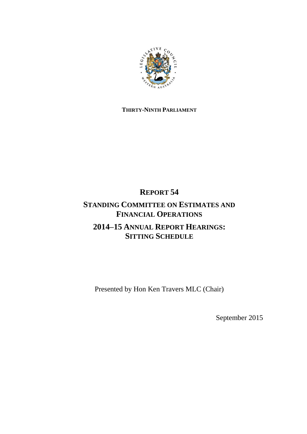

# **THIRTY-NINTH PARLIAMENT**

# **REPORT 54**

# **STANDING COMMITTEE ON ESTIMATES AND FINANCIAL OPERATIONS 2014–15 ANNUAL REPORT HEARINGS:**

# **SITTING SCHEDULE**

Presented by Hon Ken Travers MLC (Chair)

September 2015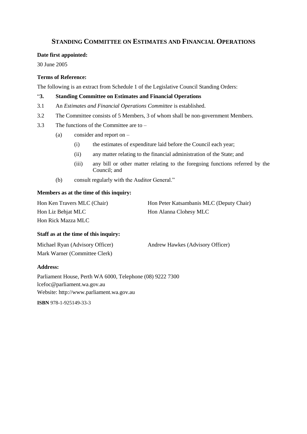## **STANDING COMMITTEE ON ESTIMATES AND FINANCIAL OPERATIONS**

#### **Date first appointed:**

30 June 2005

#### **Terms of Reference:**

The following is an extract from Schedule 1 of the Legislative Council Standing Orders:

#### "**3. Standing Committee on Estimates and Financial Operations**

- 3.1 An *Estimates and Financial Operations Committee* is established.
- 3.2 The Committee consists of 5 Members, 3 of whom shall be non-government Members.
- 3.3 The functions of the Committee are to
	- (a) consider and report on
		- (i) the estimates of expenditure laid before the Council each year;
		- (ii) any matter relating to the financial administration of the State; and
		- (iii) any bill or other matter relating to the foregoing functions referred by the Council; and
	- (b) consult regularly with the Auditor General."

#### **Members as at the time of this inquiry:**

| Hon Ken Travers MLC (Chair) | Hon Peter Katsambanis MLC (Deputy Chair) |
|-----------------------------|------------------------------------------|
| Hon Liz Behjat MLC          | Hon Alanna Clohesy MLC                   |
| Hon Rick Mazza MLC          |                                          |

#### **Staff as at the time of this inquiry:**

| Michael Ryan (Advisory Officer) | Andrew Hawkes (Advisory Officer) |
|---------------------------------|----------------------------------|
| Mark Warner (Committee Clerk)   |                                  |

#### **Address:**

Parliament House, Perth WA 6000, Telephone (08) 9222 7300 lcefoc@parliament.wa.gov.au Website: http://www.parliament.wa.gov.au

**ISBN** [978-1-925149-33-3](https://www.myidentifiers.com.au/myaccount_manageisbns_titlereg?isbn=978-1-925149-33-3&icon_type=new)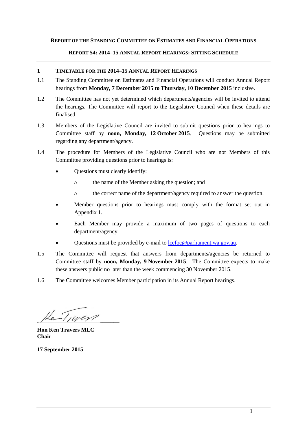#### **REPORT OF THE STANDING COMMITTEE ON ESTIMATES AND FINANCIAL OPERATIONS**

#### **REPORT 54: 2014–15 ANNUAL REPORT HEARINGS: SITTING SCHEDULE**

#### **1 TIMETABLE FOR THE 2014–15 ANNUAL REPORT HEARINGS**

- 1.1 The Standing Committee on Estimates and Financial Operations will conduct Annual Report hearings from **Monday, 7 December 2015 to Thursday, 10 December 2015** inclusive.
- 1.2 The Committee has not yet determined which departments/agencies will be invited to attend the hearings. The Committee will report to the Legislative Council when these details are finalised.
- 1.3 Members of the Legislative Council are invited to submit questions prior to hearings to Committee staff by **noon, Monday, 12 October 2015**. Questions may be submitted regarding any department/agency.
- 1.4 The procedure for Members of the Legislative Council who are not Members of this Committee providing questions prior to hearings is:
	- Questions must clearly identify:
		- o the name of the Member asking the question; and
		- o the correct name of the department/agency required to answer the question.
	- Member questions prior to hearings must comply with the format set out in Appendix 1.
	- Each Member may provide a maximum of two pages of questions to each department/agency.
	- Questions must be provided by e-mail to [lcefoc@parliament.wa.gov.au.](mailto:lcefoc@parliament.wa.gov.au)
- 1.5 The Committee will request that answers from departments/agencies be returned to Committee staff by **noon, Monday, 9 November 2015**. The Committee expects to make these answers public no later than the week commencing 30 November 2015.
- 1.6 The Committee welcomes Member participation in its Annual Report hearings.

He Tiver

**Hon Ken Travers MLC Chair**

**17 September 2015**